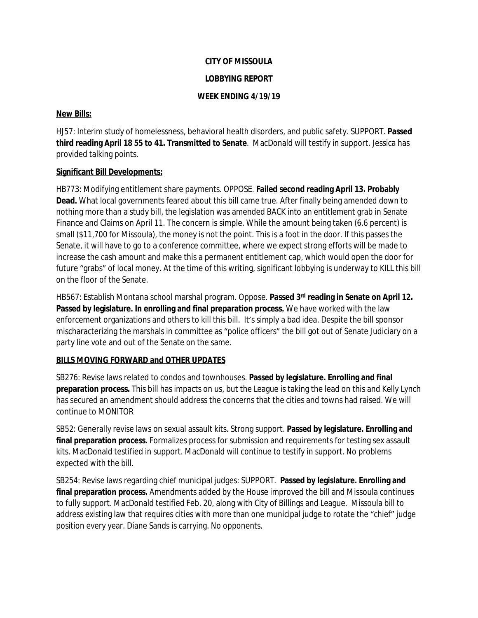#### **CITY OF MISSOULA**

### **LOBBYING REPORT**

## **WEEK ENDING 4/19/19**

### **New Bills:**

HJ57: Interim study of homelessness, behavioral health disorders, and public safety. SUPPORT. **Passed third reading April 18 55 to 41. Transmitted to Senate**. MacDonald will testify in support. Jessica has provided talking points.

## **Significant Bill Developments:**

HB773: Modifying entitlement share payments. OPPOSE. **Failed second reading April 13. Probably Dead.** What local governments feared about this bill came true. After finally being amended down to nothing more than a study bill, the legislation was amended BACK into an entitlement grab in Senate Finance and Claims on April 11. The concern is simple. While the amount being taken (6.6 percent) is small (\$11,700 for Missoula), the money is not the point. This is a foot in the door. If this passes the Senate, it will have to go to a conference committee, where we expect strong efforts will be made to increase the cash amount and make this a permanent entitlement cap, which would open the door for future "grabs" of local money. At the time of this writing, significant lobbying is underway to KILL this bill on the floor of the Senate.

HB567: Establish Montana school marshal program. Oppose. **Passed 3rd reading in Senate on April 12. Passed by legislature. In enrolling and final preparation process.** We have worked with the law enforcement organizations and others to kill this bill. It's simply a bad idea. Despite the bill sponsor mischaracterizing the marshals in committee as "police officers" the bill got out of Senate Judiciary on a party line vote and out of the Senate on the same.

## **BILLS MOVING FORWARD and OTHER UPDATES**

SB276: Revise laws related to condos and townhouses. **Passed by legislature. Enrolling and final preparation process.** This bill has impacts on us, but the League is taking the lead on this and Kelly Lynch has secured an amendment should address the concerns that the cities and towns had raised. We will continue to MONITOR

SB52: Generally revise laws on sexual assault kits. Strong support. **Passed by legislature. Enrolling and final preparation process.** Formalizes process for submission and requirements for testing sex assault kits. MacDonald testified in support. MacDonald will continue to testify in support. No problems expected with the bill.

SB254: Revise laws regarding chief municipal judges: SUPPORT. **Passed by legislature. Enrolling and final preparation process.** Amendments added by the House improved the bill and Missoula continues to fully support. MacDonald testified Feb. 20, along with City of Billings and League. Missoula bill to address existing law that requires cities with more than one municipal judge to rotate the "chief" judge position every year. Diane Sands is carrying. No opponents.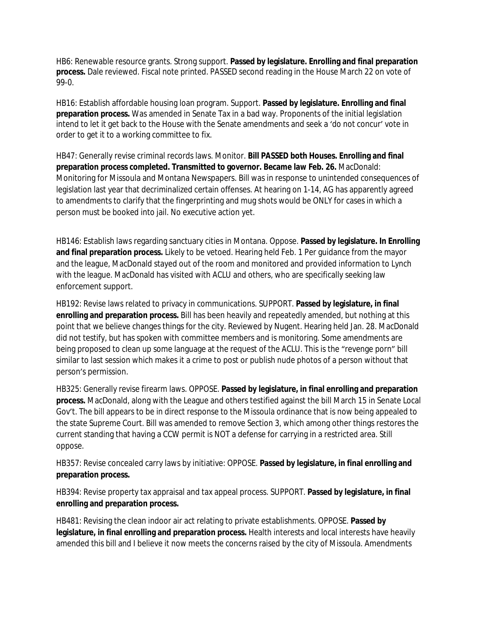HB6: Renewable resource grants. Strong support. **Passed by legislature. Enrolling and final preparation process.** Dale reviewed. Fiscal note printed. PASSED second reading in the House March 22 on vote of 99-0.

HB16: Establish affordable housing loan program. Support. **Passed by legislature. Enrolling and final preparation process.** Was amended in Senate Tax in a bad way. Proponents of the initial legislation intend to let it get back to the House with the Senate amendments and seek a 'do not concur' vote in order to get it to a working committee to fix.

HB47: Generally revise criminal records laws. Monitor. **Bill PASSED both Houses. Enrolling and final preparation process completed. Transmitted to governor. Became law Feb. 26.** MacDonald: Monitoring for Missoula and Montana Newspapers. Bill was in response to unintended consequences of legislation last year that decriminalized certain offenses. At hearing on 1-14, AG has apparently agreed to amendments to clarify that the fingerprinting and mug shots would be ONLY for cases in which a person must be booked into jail. No executive action yet.

HB146: Establish laws regarding sanctuary cities in Montana. Oppose. **Passed by legislature. In Enrolling and final preparation process.** Likely to be vetoed. Hearing held Feb. 1 Per guidance from the mayor and the league, MacDonald stayed out of the room and monitored and provided information to Lynch with the league. MacDonald has visited with ACLU and others, who are specifically seeking law enforcement support.

HB192: Revise laws related to privacy in communications. SUPPORT. **Passed by legislature, in final enrolling and preparation process.** Bill has been heavily and repeatedly amended, but nothing at this point that we believe changes things for the city. Reviewed by Nugent. Hearing held Jan. 28. MacDonald did not testify, but has spoken with committee members and is monitoring. Some amendments are being proposed to clean up some language at the request of the ACLU. This is the "revenge porn" bill similar to last session which makes it a crime to post or publish nude photos of a person without that person's permission.

HB325: Generally revise firearm laws. OPPOSE. **Passed by legislature, in final enrolling and preparation process.** MacDonald, along with the League and others testified against the bill March 15 in Senate Local Gov't. The bill appears to be in direct response to the Missoula ordinance that is now being appealed to the state Supreme Court. Bill was amended to remove Section 3, which among other things restores the current standing that having a CCW permit is NOT a defense for carrying in a restricted area. Still oppose.

HB357: Revise concealed carry laws by initiative: OPPOSE. **Passed by legislature, in final enrolling and preparation process.**

HB394: Revise property tax appraisal and tax appeal process. SUPPORT. **Passed by legislature, in final enrolling and preparation process.**

HB481: Revising the clean indoor air act relating to private establishments. OPPOSE. **Passed by legislature, in final enrolling and preparation process.** Health interests and local interests have heavily amended this bill and I believe it now meets the concerns raised by the city of Missoula. Amendments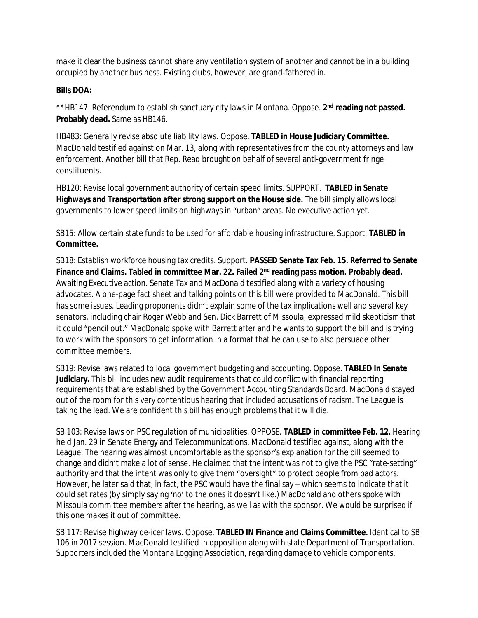make it clear the business cannot share any ventilation system of another and cannot be in a building occupied by another business. Existing clubs, however, are grand-fathered in.

# **Bills DOA:**

\*\*HB147: Referendum to establish sanctuary city laws in Montana. Oppose. 2<sup>nd</sup> reading not passed. **Probably dead.** Same as HB146.

HB483: Generally revise absolute liability laws. Oppose. **TABLED in House Judiciary Committee.**  MacDonald testified against on Mar. 13, along with representatives from the county attorneys and law enforcement. Another bill that Rep. Read brought on behalf of several anti-government fringe constituents.

HB120: Revise local government authority of certain speed limits. SUPPORT. **TABLED in Senate Highways and Transportation after strong support on the House side.** The bill simply allows local governments to lower speed limits on highways in "urban" areas. No executive action yet.

SB15: Allow certain state funds to be used for affordable housing infrastructure. Support. **TABLED in Committee.**

SB18: Establish workforce housing tax credits. Support. **PASSED Senate Tax Feb. 15. Referred to Senate Finance and Claims. Tabled in committee Mar. 22. Failed 2nd reading pass motion. Probably dead.**  Awaiting Executive action. Senate Tax and MacDonald testified along with a variety of housing advocates. A one-page fact sheet and talking points on this bill were provided to MacDonald. This bill has some issues. Leading proponents didn't explain some of the tax implications well and several key senators, including chair Roger Webb and Sen. Dick Barrett of Missoula, expressed mild skepticism that it could "pencil out." MacDonald spoke with Barrett after and he wants to support the bill and is trying to work with the sponsors to get information in a format that he can use to also persuade other committee members.

SB19: Revise laws related to local government budgeting and accounting. Oppose. **TABLED In Senate Judiciary.** This bill includes new audit requirements that could conflict with financial reporting requirements that are established by the Government Accounting Standards Board. MacDonald stayed out of the room for this very contentious hearing that included accusations of racism. The League is taking the lead. We are confident this bill has enough problems that it will die.

SB 103: Revise laws on PSC regulation of municipalities. OPPOSE. **TABLED in committee Feb. 12.** Hearing held Jan. 29 in Senate Energy and Telecommunications. MacDonald testified against, along with the League. The hearing was almost uncomfortable as the sponsor's explanation for the bill seemed to change and didn't make a lot of sense. He claimed that the intent was not to give the PSC "rate-setting" authority and that the intent was only to give them "oversight" to protect people from bad actors. However, he later said that, in fact, the PSC would have the final say – which seems to indicate that it could set rates (by simply saying 'no' to the ones it doesn't like.) MacDonald and others spoke with Missoula committee members after the hearing, as well as with the sponsor. We would be surprised if this one makes it out of committee.

SB 117: Revise highway de-icer laws. Oppose. **TABLED IN Finance and Claims Committee.** Identical to SB 106 in 2017 session. MacDonald testified in opposition along with state Department of Transportation. Supporters included the Montana Logging Association, regarding damage to vehicle components.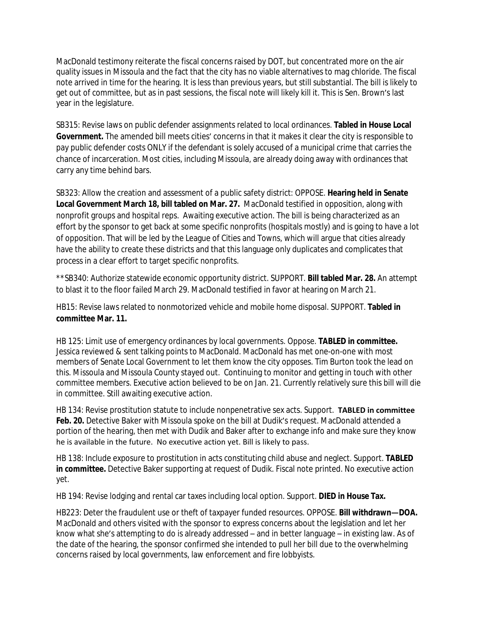MacDonald testimony reiterate the fiscal concerns raised by DOT, but concentrated more on the air quality issues in Missoula and the fact that the city has no viable alternatives to mag chloride. The fiscal note arrived in time for the hearing. It is less than previous years, but still substantial. The bill is likely to get out of committee, but as in past sessions, the fiscal note will likely kill it. This is Sen. Brown's last year in the legislature.

SB315: Revise laws on public defender assignments related to local ordinances. **Tabled in House Local Government.** The amended bill meets cities' concerns in that it makes it clear the city is responsible to pay public defender costs ONLY if the defendant is solely accused of a municipal crime that carries the chance of incarceration. Most cities, including Missoula, are already doing away with ordinances that carry any time behind bars.

SB323: Allow the creation and assessment of a public safety district: OPPOSE. **Hearing held in Senate Local Government March 18, bill tabled on Mar. 27.** MacDonald testified in opposition, along with nonprofit groups and hospital reps. Awaiting executive action. The bill is being characterized as an effort by the sponsor to get back at some specific nonprofits (hospitals mostly) and is going to have a lot of opposition. That will be led by the League of Cities and Towns, which will argue that cities already have the ability to create these districts and that this language only duplicates and complicates that process in a clear effort to target specific nonprofits.

\*\*SB340: Authorize statewide economic opportunity district. SUPPORT. **Bill tabled Mar. 28.** An attempt to blast it to the floor failed March 29. MacDonald testified in favor at hearing on March 21.

HB15: Revise laws related to nonmotorized vehicle and mobile home disposal. SUPPORT. **Tabled in committee Mar. 11.**

HB 125: Limit use of emergency ordinances by local governments. Oppose. **TABLED in committee.** Jessica reviewed & sent talking points to MacDonald. MacDonald has met one-on-one with most members of Senate Local Government to let them know the city opposes. Tim Burton took the lead on this. Missoula and Missoula County stayed out. Continuing to monitor and getting in touch with other committee members. Executive action believed to be on Jan. 21. Currently relatively sure this bill will die in committee. Still awaiting executive action.

HB 134: Revise prostitution statute to include nonpenetrative sex acts. Support. **TABLED in committee**  Feb. 20. Detective Baker with Missoula spoke on the bill at Dudik's request. MacDonald attended a portion of the hearing, then met with Dudik and Baker after to exchange info and make sure they know he is available in the future. No executive action yet. Bill is likely to pass.

HB 138: Include exposure to prostitution in acts constituting child abuse and neglect. Support. **TABLED in committee.** Detective Baker supporting at request of Dudik. Fiscal note printed. No executive action yet.

HB 194: Revise lodging and rental car taxes including local option. Support. **DIED in House Tax.**

HB223: Deter the fraudulent use or theft of taxpayer funded resources. OPPOSE. **Bill withdrawn—DOA.**  MacDonald and others visited with the sponsor to express concerns about the legislation and let her know what she's attempting to do is already addressed – and in better language – in existing law. As of the date of the hearing, the sponsor confirmed she intended to pull her bill due to the overwhelming concerns raised by local governments, law enforcement and fire lobbyists.